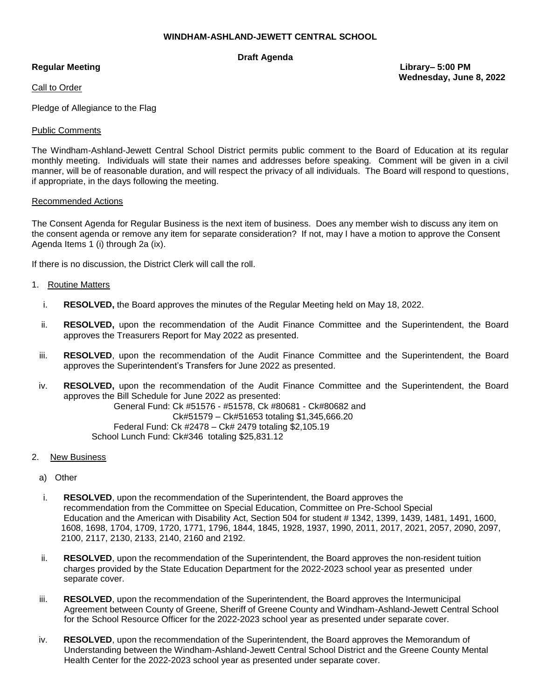# **WINDHAM-ASHLAND-JEWETT CENTRAL SCHOOL**

# **Draft Agenda**

Call to Order

Pledge of Allegiance to the Flag

## Public Comments

The Windham-Ashland-Jewett Central School District permits public comment to the Board of Education at its regular monthly meeting. Individuals will state their names and addresses before speaking. Comment will be given in a civil manner, will be of reasonable duration, and will respect the privacy of all individuals. The Board will respond to questions, if appropriate, in the days following the meeting.

### Recommended Actions

The Consent Agenda for Regular Business is the next item of business. Does any member wish to discuss any item on the consent agenda or remove any item for separate consideration? If not, may I have a motion to approve the Consent Agenda Items 1 (i) through 2a (ix).

If there is no discussion, the District Clerk will call the roll.

### 1. Routine Matters

- i. **RESOLVED,** the Board approves the minutes of the Regular Meeting held on May 18, 2022.
- ii. **RESOLVED,** upon the recommendation of the Audit Finance Committee and the Superintendent, the Board approves the Treasurers Report for May 2022 as presented.
- iii. **RESOLVED**, upon the recommendation of the Audit Finance Committee and the Superintendent, the Board approves the Superintendent's Transfers for June 2022 as presented.
- iv. **RESOLVED,** upon the recommendation of the Audit Finance Committee and the Superintendent, the Board approves the Bill Schedule for June 2022 as presented: General Fund: Ck #51576 - #51578, Ck #80681 - Ck#80682 and Ck#51579 – Ck#51653 totaling \$1,345,666.20

 Federal Fund: Ck #2478 – Ck# 2479 totaling \$2,105.19 School Lunch Fund: Ck#346 totaling \$25,831.12

- 2. New Business
	- a) Other
	- i. **RESOLVED**, upon the recommendation of the Superintendent, the Board approves the recommendation from the Committee on Special Education, Committee on Pre-School Special Education and the American with Disability Act, Section 504 for student # 1342, 1399, 1439, 1481, 1491, 1600, 1608, 1698, 1704, 1709, 1720, 1771, 1796, 1844, 1845, 1928, 1937, 1990, 2011, 2017, 2021, 2057, 2090, 2097, 2100, 2117, 2130, 2133, 2140, 2160 and 2192.
	- ii. **RESOLVED**, upon the recommendation of the Superintendent, the Board approves the non-resident tuition charges provided by the State Education Department for the 2022-2023 school year as presented under separate cover.
	- iii. **RESOLVED**, upon the recommendation of the Superintendent, the Board approves the Intermunicipal Agreement between County of Greene, Sheriff of Greene County and Windham-Ashland-Jewett Central School for the School Resource Officer for the 2022-2023 school year as presented under separate cover.
	- iv. **RESOLVED**, upon the recommendation of the Superintendent, the Board approves the Memorandum of Understanding between the Windham-Ashland-Jewett Central School District and the Greene County Mental Health Center for the 2022-2023 school year as presented under separate cover.

**Regular Meeting Library– 5:00 PM Wednesday, June 8, 2022**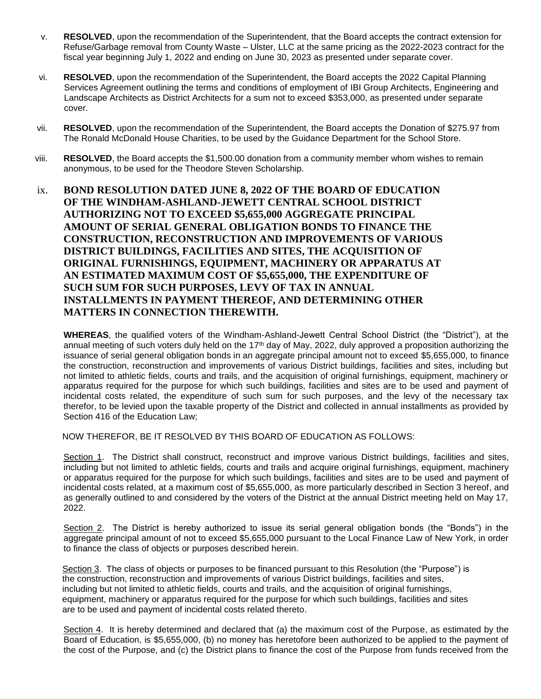- v. **RESOLVED**, upon the recommendation of the Superintendent, that the Board accepts the contract extension for Refuse/Garbage removal from County Waste – Ulster, LLC at the same pricing as the 2022-2023 contract for the fiscal year beginning July 1, 2022 and ending on June 30, 2023 as presented under separate cover.
- vi. **RESOLVED**, upon the recommendation of the Superintendent, the Board accepts the 2022 Capital Planning Services Agreement outlining the terms and conditions of employment of IBI Group Architects, Engineering and Landscape Architects as District Architects for a sum not to exceed \$353,000, as presented under separate cover.
- vii. **RESOLVED**, upon the recommendation of the Superintendent, the Board accepts the Donation of \$275.97 from The Ronald McDonald House Charities, to be used by the Guidance Department for the School Store.
- viii. **RESOLVED**, the Board accepts the \$1,500.00 donation from a community member whom wishes to remain anonymous, to be used for the Theodore Steven Scholarship.
- ix. **BOND RESOLUTION DATED JUNE 8, 2022 OF THE BOARD OF EDUCATION OF THE WINDHAM-ASHLAND-JEWETT CENTRAL SCHOOL DISTRICT AUTHORIZING NOT TO EXCEED \$5,655,000 AGGREGATE PRINCIPAL AMOUNT OF SERIAL GENERAL OBLIGATION BONDS TO FINANCE THE CONSTRUCTION, RECONSTRUCTION AND IMPROVEMENTS OF VARIOUS DISTRICT BUILDINGS, FACILITIES AND SITES, THE ACQUISITION OF ORIGINAL FURNISHINGS, EQUIPMENT, MACHINERY OR APPARATUS AT AN ESTIMATED MAXIMUM COST OF \$5,655,000, THE EXPENDITURE OF SUCH SUM FOR SUCH PURPOSES, LEVY OF TAX IN ANNUAL INSTALLMENTS IN PAYMENT THEREOF, AND DETERMINING OTHER MATTERS IN CONNECTION THEREWITH.**

**WHEREAS**, the qualified voters of the Windham-Ashland-Jewett Central School District (the "District"), at the annual meeting of such voters duly held on the 17<sup>th</sup> day of May, 2022, duly approved a proposition authorizing the issuance of serial general obligation bonds in an aggregate principal amount not to exceed \$5,655,000, to finance the construction, reconstruction and improvements of various District buildings, facilities and sites, including but not limited to athletic fields, courts and trails, and the acquisition of original furnishings, equipment, machinery or apparatus required for the purpose for which such buildings, facilities and sites are to be used and payment of incidental costs related, the expenditure of such sum for such purposes, and the levy of the necessary tax therefor, to be levied upon the taxable property of the District and collected in annual installments as provided by Section 416 of the Education Law;

NOW THEREFOR, BE IT RESOLVED BY THIS BOARD OF EDUCATION AS FOLLOWS:

Section 1. The District shall construct, reconstruct and improve various District buildings, facilities and sites, including but not limited to athletic fields, courts and trails and acquire original furnishings, equipment, machinery or apparatus required for the purpose for which such buildings, facilities and sites are to be used and payment of incidental costs related, at a maximum cost of \$5,655,000, as more particularly described in Section 3 hereof, and as generally outlined to and considered by the voters of the District at the annual District meeting held on May 17, 2022.

Section 2. The District is hereby authorized to issue its serial general obligation bonds (the "Bonds") in the aggregate principal amount of not to exceed \$5,655,000 pursuant to the Local Finance Law of New York, in order to finance the class of objects or purposes described herein.

 Section 3. The class of objects or purposes to be financed pursuant to this Resolution (the "Purpose") is the construction, reconstruction and improvements of various District buildings, facilities and sites, including but not limited to athletic fields, courts and trails, and the acquisition of original furnishings, equipment, machinery or apparatus required for the purpose for which such buildings, facilities and sites are to be used and payment of incidental costs related thereto.

Section 4. It is hereby determined and declared that (a) the maximum cost of the Purpose, as estimated by the Board of Education, is \$5,655,000, (b) no money has heretofore been authorized to be applied to the payment of the cost of the Purpose, and (c) the District plans to finance the cost of the Purpose from funds received from the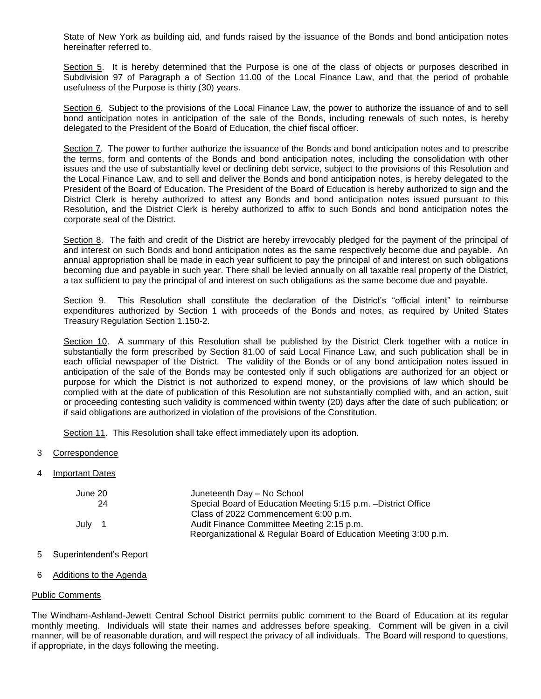State of New York as building aid, and funds raised by the issuance of the Bonds and bond anticipation notes hereinafter referred to.

Section 5. It is hereby determined that the Purpose is one of the class of objects or purposes described in Subdivision 97 of Paragraph a of Section 11.00 of the Local Finance Law, and that the period of probable usefulness of the Purpose is thirty (30) years.

Section 6. Subject to the provisions of the Local Finance Law, the power to authorize the issuance of and to sell bond anticipation notes in anticipation of the sale of the Bonds, including renewals of such notes, is hereby delegated to the President of the Board of Education, the chief fiscal officer.

Section 7. The power to further authorize the issuance of the Bonds and bond anticipation notes and to prescribe the terms, form and contents of the Bonds and bond anticipation notes, including the consolidation with other issues and the use of substantially level or declining debt service, subject to the provisions of this Resolution and the Local Finance Law, and to sell and deliver the Bonds and bond anticipation notes, is hereby delegated to the President of the Board of Education. The President of the Board of Education is hereby authorized to sign and the District Clerk is hereby authorized to attest any Bonds and bond anticipation notes issued pursuant to this Resolution, and the District Clerk is hereby authorized to affix to such Bonds and bond anticipation notes the corporate seal of the District.

Section 8. The faith and credit of the District are hereby irrevocably pledged for the payment of the principal of and interest on such Bonds and bond anticipation notes as the same respectively become due and payable. An annual appropriation shall be made in each year sufficient to pay the principal of and interest on such obligations becoming due and payable in such year. There shall be levied annually on all taxable real property of the District, a tax sufficient to pay the principal of and interest on such obligations as the same become due and payable.

Section 9. This Resolution shall constitute the declaration of the District's "official intent" to reimburse expenditures authorized by Section 1 with proceeds of the Bonds and notes, as required by United States Treasury Regulation Section 1.150-2.

Section 10. A summary of this Resolution shall be published by the District Clerk together with a notice in substantially the form prescribed by Section 81.00 of said Local Finance Law, and such publication shall be in each official newspaper of the District. The validity of the Bonds or of any bond anticipation notes issued in anticipation of the sale of the Bonds may be contested only if such obligations are authorized for an object or purpose for which the District is not authorized to expend money, or the provisions of law which should be complied with at the date of publication of this Resolution are not substantially complied with, and an action, suit or proceeding contesting such validity is commenced within twenty (20) days after the date of such publication; or if said obligations are authorized in violation of the provisions of the Constitution.

Section 11. This Resolution shall take effect immediately upon its adoption.

- 3 Correspondence
- 4 Important Dates

| June 20 | Juneteenth Day - No School                                      |
|---------|-----------------------------------------------------------------|
| 24      | Special Board of Education Meeting 5:15 p.m. - District Office  |
|         | Class of 2022 Commencement 6:00 p.m.                            |
| July 1  | Audit Finance Committee Meeting 2:15 p.m.                       |
|         | Reorganizational & Regular Board of Education Meeting 3:00 p.m. |

- 5 Superintendent's Report
- 6 Additions to the Agenda

# Public Comments

The Windham-Ashland-Jewett Central School District permits public comment to the Board of Education at its regular monthly meeting. Individuals will state their names and addresses before speaking. Comment will be given in a civil manner, will be of reasonable duration, and will respect the privacy of all individuals. The Board will respond to questions, if appropriate, in the days following the meeting.